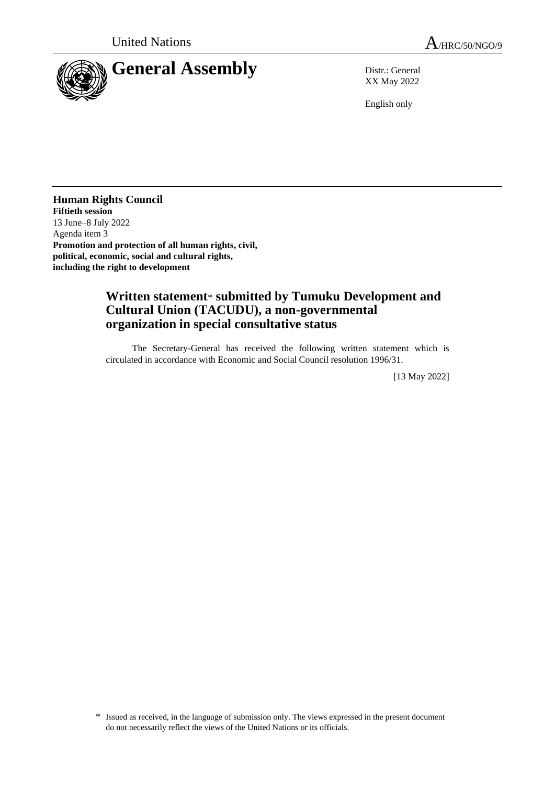



XX May 2022

English only

**Human Rights Council Fiftieth session** 13 June–8 July 2022 Agenda item 3 **Promotion and protection of all human rights, civil, political, economic, social and cultural rights, including the right to development**

## **Written statement**\* **submitted by Tumuku Development and Cultural Union (TACUDU), a non-governmental organization in special consultative status**

The Secretary-General has received the following written statement which is circulated in accordance with Economic and Social Council resolution 1996/31.

[13 May 2022]

<sup>\*</sup> Issued as received, in the language of submission only. The views expressed in the present document do not necessarily reflect the views of the United Nations or its officials.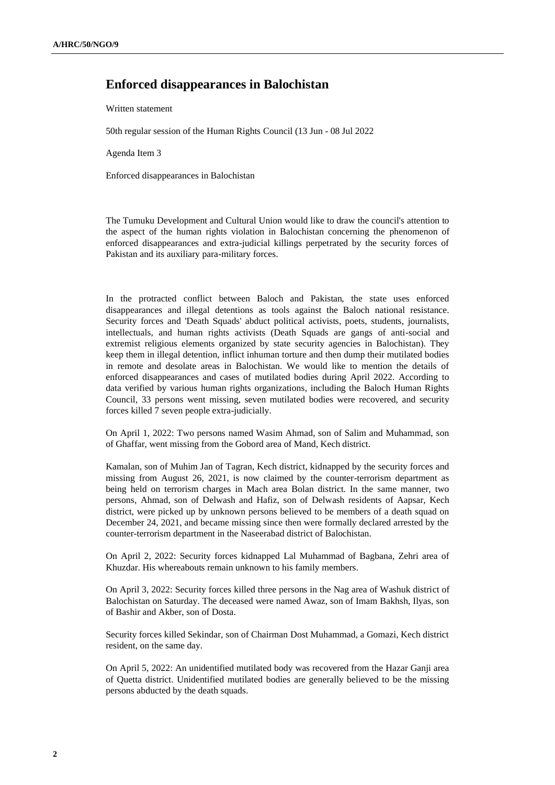## **Enforced disappearances in Balochistan**

Written statement

50th regular session of the Human Rights Council (13 Jun - 08 Jul 2022

Agenda Item 3

Enforced disappearances in Balochistan

The Tumuku Development and Cultural Union would like to draw the council's attention to the aspect of the human rights violation in Balochistan concerning the phenomenon of enforced disappearances and extra-judicial killings perpetrated by the security forces of Pakistan and its auxiliary para-military forces.

In the protracted conflict between Baloch and Pakistan, the state uses enforced disappearances and illegal detentions as tools against the Baloch national resistance. Security forces and 'Death Squads' abduct political activists, poets, students, journalists, intellectuals, and human rights activists (Death Squads are gangs of anti-social and extremist religious elements organized by state security agencies in Balochistan). They keep them in illegal detention, inflict inhuman torture and then dump their mutilated bodies in remote and desolate areas in Balochistan. We would like to mention the details of enforced disappearances and cases of mutilated bodies during April 2022. According to data verified by various human rights organizations, including the Baloch Human Rights Council, 33 persons went missing, seven mutilated bodies were recovered, and security forces killed 7 seven people extra-judicially.

On April 1, 2022: Two persons named Wasim Ahmad, son of Salim and Muhammad, son of Ghaffar, went missing from the Gobord area of Mand, Kech district.

Kamalan, son of Muhim Jan of Tagran, Kech district, kidnapped by the security forces and missing from August 26, 2021, is now claimed by the counter-terrorism department as being held on terrorism charges in Mach area Bolan district. In the same manner, two persons, Ahmad, son of Delwash and Hafiz, son of Delwash residents of Aapsar, Kech district, were picked up by unknown persons believed to be members of a death squad on December 24, 2021, and became missing since then were formally declared arrested by the counter-terrorism department in the Naseerabad district of Balochistan.

On April 2, 2022: Security forces kidnapped Lal Muhammad of Bagbana, Zehri area of Khuzdar. His whereabouts remain unknown to his family members.

On April 3, 2022: Security forces killed three persons in the Nag area of Washuk district of Balochistan on Saturday. The deceased were named Awaz, son of Imam Bakhsh, Ilyas, son of Bashir and Akber, son of Dosta.

Security forces killed Sekindar, son of Chairman Dost Muhammad, a Gomazi, Kech district resident, on the same day.

On April 5, 2022: An unidentified mutilated body was recovered from the Hazar Ganji area of Quetta district. Unidentified mutilated bodies are generally believed to be the missing persons abducted by the death squads.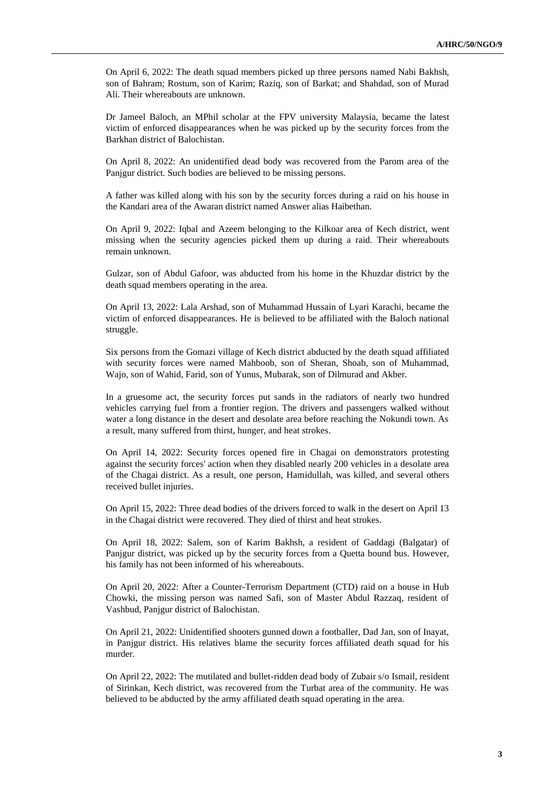On April 6, 2022: The death squad members picked up three persons named Nabi Bakhsh, son of Bahram; Rostum, son of Karim; Raziq, son of Barkat; and Shahdad, son of Murad Ali. Their whereabouts are unknown.

Dr Jameel Baloch, an MPhil scholar at the FPV university Malaysia, became the latest victim of enforced disappearances when he was picked up by the security forces from the Barkhan district of Balochistan.

On April 8, 2022: An unidentified dead body was recovered from the Parom area of the Panjgur district. Such bodies are believed to be missing persons.

A father was killed along with his son by the security forces during a raid on his house in the Kandari area of the Awaran district named Answer alias Haibethan.

On April 9, 2022: Iqbal and Azeem belonging to the Kilkoar area of Kech district, went missing when the security agencies picked them up during a raid. Their whereabouts remain unknown.

Gulzar, son of Abdul Gafoor, was abducted from his home in the Khuzdar district by the death squad members operating in the area.

On April 13, 2022: Lala Arshad, son of Muhammad Hussain of Lyari Karachi, became the victim of enforced disappearances. He is believed to be affiliated with the Baloch national struggle.

Six persons from the Gomazi village of Kech district abducted by the death squad affiliated with security forces were named Mahboob, son of Sheran, Shoab, son of Muhammad, Wajo, son of Wahid, Farid, son of Yunus, Mubarak, son of Dilmurad and Akber.

In a gruesome act, the security forces put sands in the radiators of nearly two hundred vehicles carrying fuel from a frontier region. The drivers and passengers walked without water a long distance in the desert and desolate area before reaching the Nokundi town. As a result, many suffered from thirst, hunger, and heat strokes.

On April 14, 2022: Security forces opened fire in Chagai on demonstrators protesting against the security forces' action when they disabled nearly 200 vehicles in a desolate area of the Chagai district. As a result, one person, Hamidullah, was killed, and several others received bullet injuries.

On April 15, 2022: Three dead bodies of the drivers forced to walk in the desert on April 13 in the Chagai district were recovered. They died of thirst and heat strokes.

On April 18, 2022: Salem, son of Karim Bakhsh, a resident of Gaddagi (Balgatar) of Panjgur district, was picked up by the security forces from a Quetta bound bus. However, his family has not been informed of his whereabouts.

On April 20, 2022: After a Counter-Terrorism Department (CTD) raid on a house in Hub Chowki, the missing person was named Safi, son of Master Abdul Razzaq, resident of Vashbud, Panjgur district of Balochistan.

On April 21, 2022: Unidentified shooters gunned down a footballer, Dad Jan, son of Inayat, in Panjgur district. His relatives blame the security forces affiliated death squad for his murder.

On April 22, 2022: The mutilated and bullet-ridden dead body of Zubair s/o Ismail, resident of Sirinkan, Kech district, was recovered from the Turbat area of the community. He was believed to be abducted by the army affiliated death squad operating in the area.